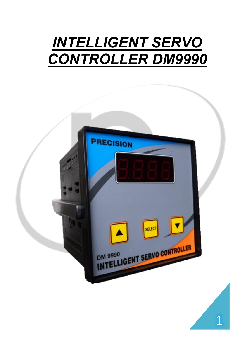# *INTELLIGENT SERVO CONTROLLER DM9990*

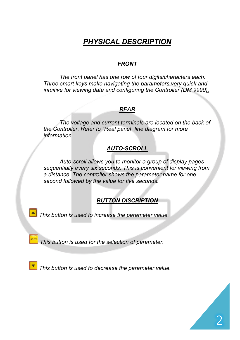# *PHYSICAL DESCRIPTION*

#### *FRONT*

*The front panel has one row of four digits/characters each. Three smart keys make navigating the parameters very quick and intuitive for viewing data and configuring the Controller (DM 9990).*

#### *REAR*

 *The voltage and current terminals are located on the back of the Controller. Refer to "Real panel" line diagram for more information.*

## *AUTO-SCROLL*

*Auto-scroll allows you to monitor a group of display pages sequentially every six seconds. This is convenient for viewing from a distance. The controller shows the parameter name for one second followed by the value for five seconds.*

### *BUTTON DISCRIPTION*

*This button is used to increase the parameter value.*

*This button is used for the selection of parameter.*

**This button is used to decrease the parameter value.**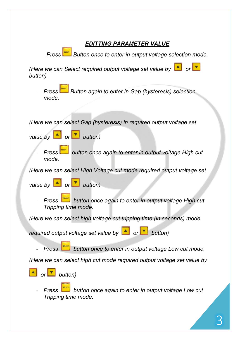